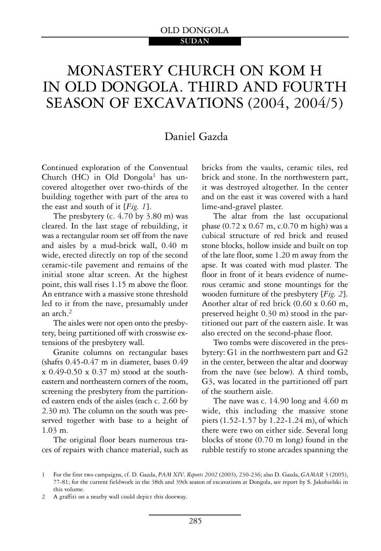# MONASTERY CHURCH ON KOM H IN OLD DONGOLA. THIRD AND FOURTH SEASON OF EXCAVATIONS (2004, 2004/5)

# Daniel Gazda

Continued exploration of the Conventual Church (HC) in Old Dongola<sup>1</sup> has uncovered altogether over two-thirds of the building together with part of the area to the east and south of it [*Fig. 1*].

The presbytery (c. 4.70 by 3.80 m) was cleared. In the last stage of rebuilding, it was a rectangular room set off from the nave and aisles by a mud-brick wall, 0.40 m wide, erected directly on top of the second ceramic-tile pavement and remains of the initial stone altar screen. At the highest point, this wall rises 1.15 m above the floor. An entrance with a massive stone threshold led to it from the nave, presumably under an arch. $<sup>2</sup>$ </sup>

The aisles were not open onto the presbytery, being partitioned off with crosswise extensions of the presbytery wall.

Granite columns on rectangular bases (shafts 0.45-0.47 m in diameter, bases 0.49  $x\ 0.49$ -0.50  $x\ 0.37$  m) stood at the southeastern and northeastern corners of the room, screening the presbytery from the partitioned eastern ends of the aisles (each c. 2.60 by 2.30 m). The column on the south was preserved together with base to a height of 1.03 m.

The original floor bears numerous traces of repairs with chance material, such as bricks from the vaults, ceramic tiles, red brick and stone. In the northwestern part, it was destroyed altogether. In the center and on the east it was covered with a hard lime-and-gravel plaster.

The altar from the last occupational phase (0.72 x 0.67 m, c.0.70 m high) was a cubical structure of red brick and reused stone blocks, hollow inside and built on top of the late floor, some 1.20 m away from the apse. It was coated with mud plaster. The floor in front of it bears evidence of numerous ceramic and stone mountings for the wooden furniture of the presbytery [*Fig. 2*]. Another altar of red brick (0.60 x 0.60 m, preserved height 0.30 m) stood in the partitioned out part of the eastern aisle. It was also erected on the second-phase floor.

Two tombs were discovered in the presbytery: G1 in the northwestern part and G2 in the center, between the altar and doorway from the nave (see below). A third tomb, G3, was located in the partitioned off part of the southern aisle.

The nave was c. 14.90 long and 4.60 m wide, this including the massive stone piers (1.52-1.57 by 1.22-1.24 m), of which there were two on either side. Several long blocks of stone (0.70 m long) found in the rubble testify to stone arcades spanning the

2 A graffiti on a nearby wall could depict this doorway.

<sup>1</sup> For the first two campaigns, cf. D. Gazda, PAM XIV, Reports 2002 (2003), 230-236; also D. Gazda, GAMAR 3 (2005), 77-81; for the current fieldwork in the 38th and 39th season of excavations at Dongola, see report by S. Jakobielski in this volume.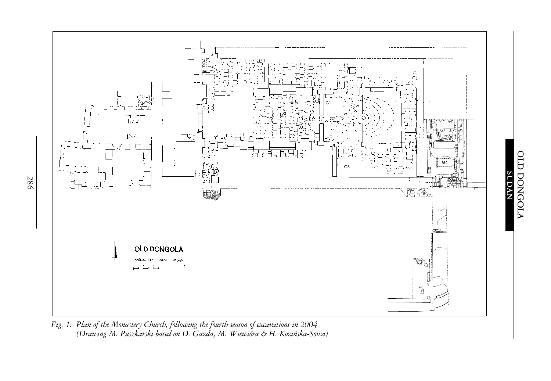

*Fig. 1. Plan of the Monastery Church, following the fourth season of excavations in 2004 (Drawing* M. Puszkarski based on D. Gazda, M. Wiewióra & H. Koziñska-Sowa*)*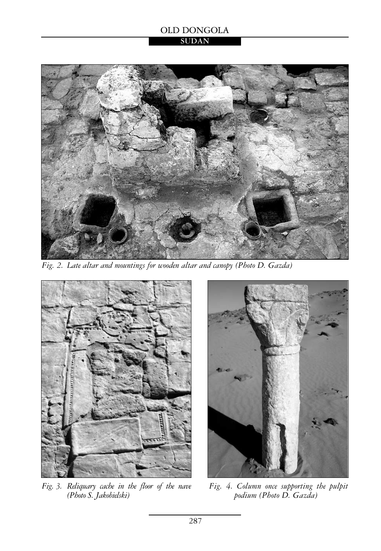#### OLD DONGOLA **SUDAN**



*Fig. 2. Late altar and mountings for wooden altar and canopy (Photo D. Gazda)*



*Fig. 3. Reliquary cache in the floor of the nave (Photo S. Jakobielski)* 



*Fig. 4. Column once supporting the pulpit podium (Photo D. Gazda)*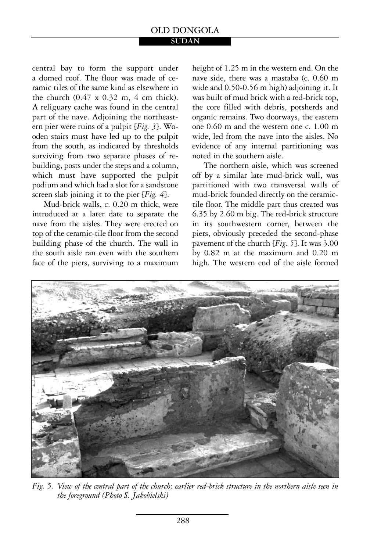#### **SUDAN**

central bay to form the support under a domed roof. The floor was made of ceramic tiles of the same kind as elsewhere in the church  $(0.47 \times 0.32 \text{ m}, 4 \text{ cm}$  thick). A religuary cache was found in the central part of the nave. Adjoining the northeastern pier were ruins of a pulpit [*Fig. 3*]. Wooden stairs must have led up to the pulpit from the south, as indicated by thresholds surviving from two separate phases of rebuilding, posts under the steps and a column, which must have supported the pulpit podium and which had a slot for a sandstone screen slab joining it to the pier [*Fig. 4*].

Mud-brick walls, c. 0.20 m thick, were introduced at a later date to separate the nave from the aisles. They were erected on top of the ceramic-tile floor from the second building phase of the church. The wall in the south aisle ran even with the southern face of the piers, surviving to a maximum height of 1.25 m in the western end. On the nave side, there was a mastaba (c. 0.60 m wide and 0.50-0.56 m high) adjoining it. It was built of mud brick with a red-brick top, the core filled with debris, potsherds and organic remains. Two doorways, the eastern one 0.60 m and the western one c. 1.00 m wide, led from the nave into the aisles. No evidence of any internal partitioning was noted in the southern aisle.

The northern aisle, which was screened off by a similar late mud-brick wall, was partitioned with two transversal walls of mud-brick founded directly on the ceramictile floor. The middle part thus created was 6.35 by 2.60 m big. The red-brick structure in its southwestern corner, between the piers, obviously preceded the second-phase pavement of the church [*Fig. 5*]. It was 3.00 by 0.82 m at the maximum and 0.20 m high. The western end of the aisle formed



*Fig. 5. View of the central part of the church; earlier red-brick structure in the northern aisle seen in the foreground (Photo S. Jakobielski)*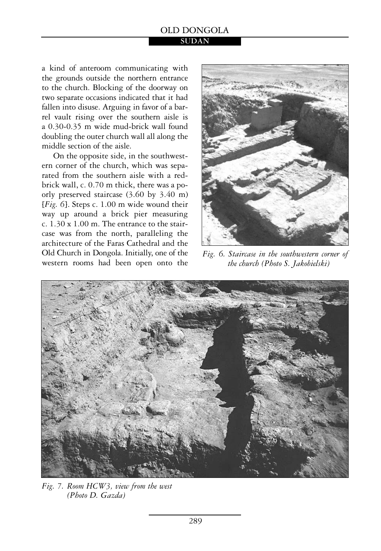**SUDAN**

a kind of anteroom communicating with the grounds outside the northern entrance to the church. Blocking of the doorway on two separate occasions indicated that it had fallen into disuse. Arguing in favor of a barrel vault rising over the southern aisle is a 0.30-0.35 m wide mud-brick wall found doubling the outer church wall all along the middle section of the aisle.

On the opposite side, in the southwestern corner of the church, which was separated from the southern aisle with a redbrick wall, c. 0.70 m thick, there was a poorly preserved staircase (3.60 by 3.40 m) [*Fig. 6*]. Steps c. 1.00 m wide wound their way up around a brick pier measuring c. 1.30 x 1.00 m. The entrance to the staircase was from the north, paralleling the architecture of the Faras Cathedral and the Old Church in Dongola. Initially, one of the western rooms had been open onto the



*Fig. 6. Staircase in the southwestern corner of the church (Photo S. Jakobielski)* 



*Fig. 7. Room HCW3, view from the west (Photo D. Gazda)*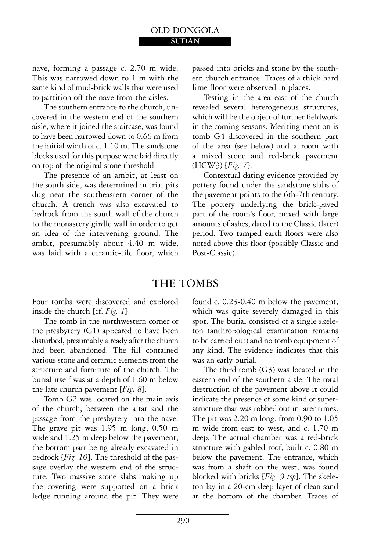nave, forming a passage c. 2.70 m wide. This was narrowed down to 1 m with the same kind of mud-brick walls that were used to partition off the nave from the aisles.

The southern entrance to the church, uncovered in the western end of the southern aisle, where it joined the staircase, was found to have been narrowed down to 0.66 m from the initial width of c. 1.10 m. The sandstone blocks used for this purpose were laid directly on top of the original stone threshold.

The presence of an ambit, at least on the south side, was determined in trial pits dug near the southeastern corner of the church. A trench was also excavated to bedrock from the south wall of the church to the monastery girdle wall in order to get an idea of the intervening ground. The ambit, presumably about 4.40 m wide, was laid with a ceramic-tile floor, which

passed into bricks and stone by the southern church entrance. Traces of a thick hard lime floor were observed in places.

Testing in the area east of the church revealed several heterogeneous structures, which will be the object of further fieldwork in the coming seasons. Meriting mention is tomb G4 discovered in the southern part of the area (see below) and a room with a mixed stone and red-brick pavement (HCW3) [*Fig. 7*].

Contextual dating evidence provided by pottery found under the sandstone slabs of the pavement points to the 6th-7th century. The pottery underlying the brick-paved part of the room's floor, mixed with large amounts of ashes, dated to the Classic (later) period. Two tamped earth floors were also noted above this floor (possibly Classic and Post-Classic).

## THE TOMBS

Four tombs were discovered and explored inside the church [cf. *Fig. 1*].

The tomb in the northwestern corner of the presbytery (G1) appeared to have been disturbed, presumably already after the church had been abandoned. The fill contained various stone and ceramic elements from the structure and furniture of the church. The burial itself was at a depth of 1.60 m below the late church pavement [*Fig. 8*].

Tomb G2 was located on the main axis of the church, between the altar and the passage from the presbytery into the nave. The grave pit was 1.95 m long, 0.50 m wide and 1.25 m deep below the pavement, the bottom part being already excavated in bedrock [*Fig. 10*]. The threshold of the passage overlay the western end of the structure. Two massive stone slabs making up the covering were supported on a brick ledge running around the pit. They were found c. 0.23-0.40 m below the pavement, which was quite severely damaged in this spot. The burial consisted of a single skeleton (anthropological examination remains to be carried out) and no tomb equipment of any kind. The evidence indicates that this was an early burial.

The third tomb (G3) was located in the eastern end of the southern aisle. The total destruction of the pavement above it could indicate the presence of some kind of superstructure that was robbed out in later times. The pit was 2.20 m long, from 0.90 to 1.05 m wide from east to west, and c. 1.70 m deep. The actual chamber was a red-brick structure with gabled roof, built c. 0.80 m below the pavement. The entrance, which was from a shaft on the west, was found blocked with bricks [*Fig. 9 top*]. The skeleton lay in a 20-cm deep layer of clean sand at the bottom of the chamber. Traces of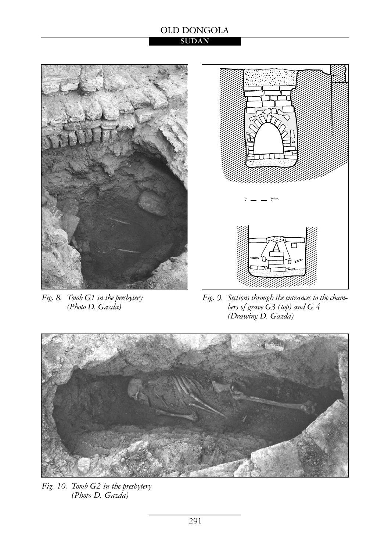#### OLD DONGOLA **SUDAN**



*Fig. 8. Tomb G1 in the presbytery (Photo D. Gazda)* 



*Fig. 9. Sections through the entrances to the chambers of grave G3 (top) and G 4 (Drawing D. Gazda)* 



*Fig. 10. Tomb G2 in the presbytery (Photo D. Gazda)*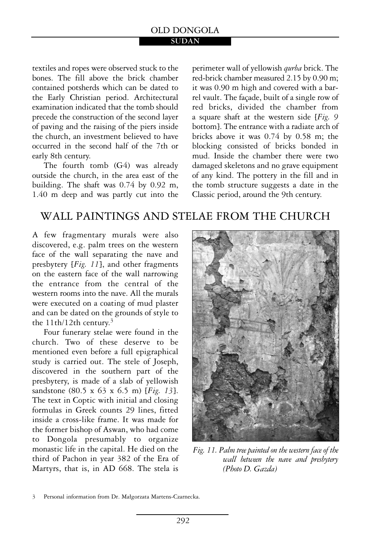#### **SUDAN**

textiles and ropes were observed stuck to the bones. The fill above the brick chamber contained potsherds which can be dated to the Early Christian period. Architectural examination indicated that the tomb should precede the construction of the second layer of paving and the raising of the piers inside the church, an investment believed to have occurred in the second half of the 7th or early 8th century.

The fourth tomb (G4) was already outside the church, in the area east of the building. The shaft was 0.74 by 0.92 m, 1.40 m deep and was partly cut into the

perimeter wall of yellowish *qurba* brick. The red-brick chamber measured 2.15 by 0.90 m; it was 0.90 m high and covered with a barrel vault. The façade, built of a single row of red bricks, divided the chamber from a square shaft at the western side [*Fig. 9* bottom]. The entrance with a radiate arch of bricks above it was 0.74 by 0.58 m; the blocking consisted of bricks bonded in mud. Inside the chamber there were two damaged skeletons and no grave equipment of any kind. The pottery in the fill and in the tomb structure suggests a date in the Classic period, around the 9th century.

# WALL PAINTINGS AND STELAE FROM THE CHURCH

A few fragmentary murals were also discovered, e.g. palm trees on the western face of the wall separating the nave and presbytery [*Fig. 11*], and other fragments on the eastern face of the wall narrowing the entrance from the central of the western rooms into the nave. All the murals were executed on a coating of mud plaster and can be dated on the grounds of style to the 11th/12th century.3

Four funerary stelae were found in the church. Two of these deserve to be mentioned even before a full epigraphical study is carried out. The stele of Joseph, discovered in the southern part of the presbytery, is made of a slab of yellowish sandstone (80.5 x 63 x 6.5 m) [*Fig. 13*]. The text in Coptic with initial and closing formulas in Greek counts 29 lines, fitted inside a cross-like frame. It was made for the former bishop of Aswan, who had come to Dongola presumably to organize monastic life in the capital. He died on the third of Pachon in year 382 of the Era of Martyrs, that is, in AD 668. The stela is



*Fig. 11. Palm tree painted on the western face of the wall between the nave and presbytery (Photo D. Gazda)* 

<sup>3</sup> Personal information from Dr. Małgorzata Martens-Czarnecka.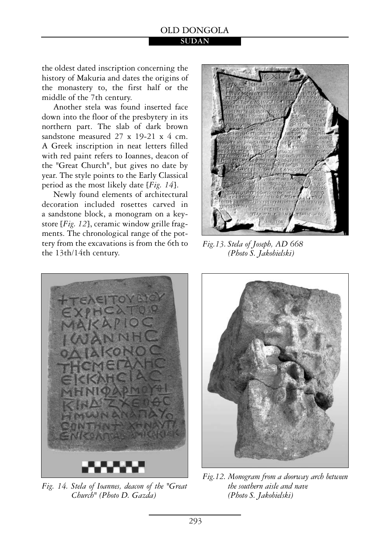#### OLD DONGOLA **SUDAN**

the oldest dated inscription concerning the history of Makuria and dates the origins of the monastery to, the first half or the middle of the 7th century.

Another stela was found inserted face down into the floor of the presbytery in its northern part. The slab of dark brown sandstone measured 27 x 19-21 x 4 cm. A Greek inscription in neat letters filled with red paint refers to Ioannes, deacon of the "Great Church", but gives no date by year. The style points to the Early Classical period as the most likely date [*Fig. 14*].

Newly found elements of architectural decoration included rosettes carved in a sandstone block, a monogram on a keystore [*Fig. 12*], ceramic window grille fragments. The chronological range of the pottery from the excavations is from the 6th to the 13th/14th century.



*Fig.13. Stela of Joseph, AD 668 (Photo S. Jakobielski)* 



*Fig. 14. Stela of Ioannes, deacon of the "Great Church" (Photo D. Gazda)* 



*Fig.12. Monogram from a doorway arch between the southern aisle and nave (Photo S. Jakobielski)*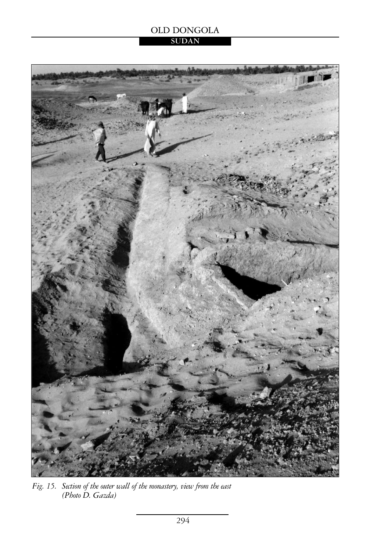### **SUDAN**



*Fig. 15. Section of the outer wall of the monastery, view from the east (Photo D. Gazda)*